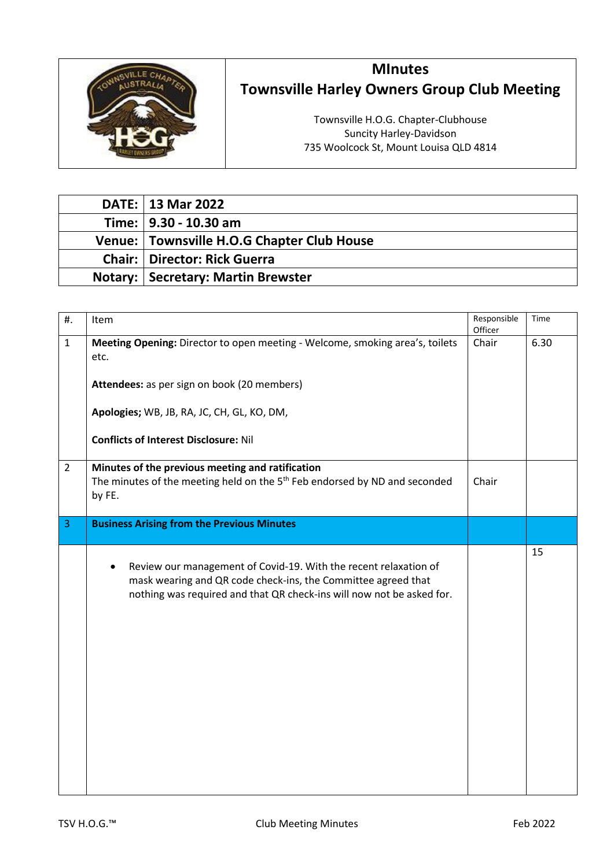

## **MInutes Townsville Harley Owners Group Club Meeting**

Townsville H.O.G. Chapter-Clubhouse Suncity Harley-Davidson 735 Woolcock St, Mount Louisa QLD 4814

| DATE:   13 Mar 2022                        |
|--------------------------------------------|
| Time:   9.30 - 10.30 am                    |
| Venue: Townsville H.O.G Chapter Club House |
| <b>Chair:   Director: Rick Guerra</b>      |
| <b>Notary: Secretary: Martin Brewster</b>  |

| #.             | Item                                                                                                                                                                                                                    | Responsible<br>Officer | Time |
|----------------|-------------------------------------------------------------------------------------------------------------------------------------------------------------------------------------------------------------------------|------------------------|------|
| $\mathbf{1}$   | Meeting Opening: Director to open meeting - Welcome, smoking area's, toilets<br>etc.                                                                                                                                    | Chair                  | 6.30 |
|                | Attendees: as per sign on book (20 members)                                                                                                                                                                             |                        |      |
|                | Apologies; WB, JB, RA, JC, CH, GL, KO, DM,                                                                                                                                                                              |                        |      |
|                | <b>Conflicts of Interest Disclosure: Nil</b>                                                                                                                                                                            |                        |      |
| $\overline{2}$ | Minutes of the previous meeting and ratification<br>The minutes of the meeting held on the 5 <sup>th</sup> Feb endorsed by ND and seconded<br>by FE.                                                                    | Chair                  |      |
| $\overline{3}$ | <b>Business Arising from the Previous Minutes</b>                                                                                                                                                                       |                        |      |
|                | Review our management of Covid-19. With the recent relaxation of<br>$\bullet$<br>mask wearing and QR code check-ins, the Committee agreed that<br>nothing was required and that QR check-ins will now not be asked for. |                        | 15   |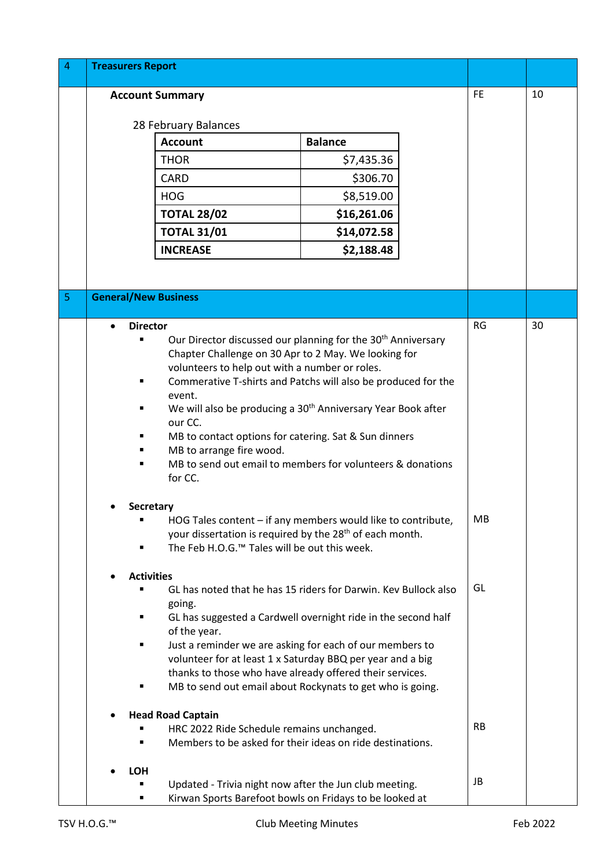| $\overline{a}$ | <b>Treasurers Report</b>                                        |                                                                                                                                  |                |  |           |    |
|----------------|-----------------------------------------------------------------|----------------------------------------------------------------------------------------------------------------------------------|----------------|--|-----------|----|
|                |                                                                 | <b>Account Summary</b>                                                                                                           |                |  | <b>FE</b> | 10 |
|                |                                                                 |                                                                                                                                  |                |  |           |    |
|                |                                                                 | 28 February Balances<br><b>Account</b>                                                                                           |                |  |           |    |
|                |                                                                 |                                                                                                                                  | <b>Balance</b> |  |           |    |
|                |                                                                 | <b>THOR</b>                                                                                                                      | \$7,435.36     |  |           |    |
|                |                                                                 | <b>CARD</b>                                                                                                                      | \$306.70       |  |           |    |
|                |                                                                 | <b>HOG</b>                                                                                                                       | \$8,519.00     |  |           |    |
|                |                                                                 | <b>TOTAL 28/02</b>                                                                                                               | \$16,261.06    |  |           |    |
|                |                                                                 | <b>TOTAL 31/01</b>                                                                                                               | \$14,072.58    |  |           |    |
|                |                                                                 | <b>INCREASE</b>                                                                                                                  | \$2,188.48     |  |           |    |
|                |                                                                 |                                                                                                                                  |                |  |           |    |
| 5              | <b>General/New Business</b>                                     |                                                                                                                                  |                |  |           |    |
|                |                                                                 |                                                                                                                                  |                |  |           |    |
|                | <b>Director</b>                                                 |                                                                                                                                  |                |  | <b>RG</b> | 30 |
|                |                                                                 | Our Director discussed our planning for the 30 <sup>th</sup> Anniversary<br>Chapter Challenge on 30 Apr to 2 May. We looking for |                |  |           |    |
|                |                                                                 | volunteers to help out with a number or roles.                                                                                   |                |  |           |    |
|                |                                                                 | Commerative T-shirts and Patchs will also be produced for the                                                                    |                |  |           |    |
|                |                                                                 | event.<br>We will also be producing a 30 <sup>th</sup> Anniversary Year Book after                                               |                |  |           |    |
|                |                                                                 | our CC.                                                                                                                          |                |  |           |    |
|                |                                                                 | MB to contact options for catering. Sat & Sun dinners                                                                            |                |  |           |    |
|                |                                                                 | MB to arrange fire wood.                                                                                                         |                |  |           |    |
|                |                                                                 | MB to send out email to members for volunteers & donations                                                                       |                |  |           |    |
|                |                                                                 | for CC.                                                                                                                          |                |  |           |    |
|                | <b>Secretary</b>                                                |                                                                                                                                  |                |  |           |    |
|                |                                                                 | HOG Tales content – if any members would like to contribute,                                                                     |                |  | MB        |    |
|                |                                                                 | your dissertation is required by the 28 <sup>th</sup> of each month.                                                             |                |  |           |    |
|                |                                                                 | The Feb H.O.G. <sup>™</sup> Tales will be out this week.                                                                         |                |  |           |    |
|                | <b>Activities</b>                                               |                                                                                                                                  |                |  |           |    |
|                | GL has noted that he has 15 riders for Darwin. Kev Bullock also |                                                                                                                                  |                |  | GL        |    |
|                |                                                                 | going.                                                                                                                           |                |  |           |    |
|                |                                                                 | GL has suggested a Cardwell overnight ride in the second half<br>of the year.                                                    |                |  |           |    |
|                | ٠                                                               | Just a reminder we are asking for each of our members to                                                                         |                |  |           |    |
|                |                                                                 | volunteer for at least 1 x Saturday BBQ per year and a big                                                                       |                |  |           |    |
|                |                                                                 | thanks to those who have already offered their services.                                                                         |                |  |           |    |
|                | ٠                                                               | MB to send out email about Rockynats to get who is going.                                                                        |                |  |           |    |
|                | <b>Head Road Captain</b>                                        |                                                                                                                                  |                |  |           |    |
|                |                                                                 | HRC 2022 Ride Schedule remains unchanged.                                                                                        |                |  | <b>RB</b> |    |
|                |                                                                 | Members to be asked for their ideas on ride destinations.                                                                        |                |  |           |    |
|                |                                                                 |                                                                                                                                  |                |  |           |    |
|                | <b>LOH</b>                                                      | Updated - Trivia night now after the Jun club meeting.                                                                           |                |  | JB        |    |
|                | ٠                                                               | Kirwan Sports Barefoot bowls on Fridays to be looked at                                                                          |                |  |           |    |